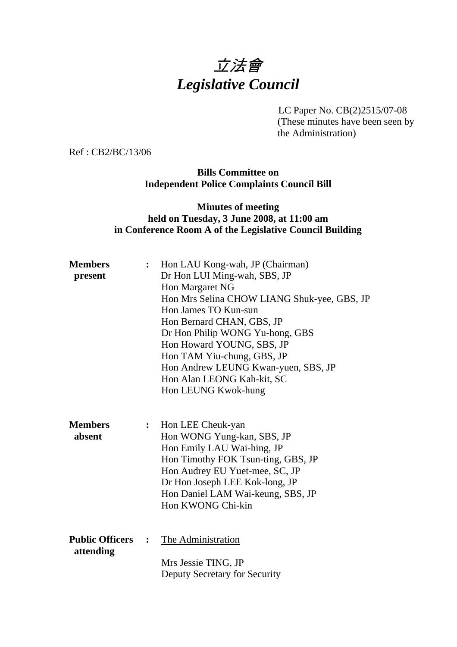# 立法會 *Legislative Council*

LC Paper No. CB(2)2515/07-08

(These minutes have been seen by the Administration)

Ref : CB2/BC/13/06

## **Bills Committee on Independent Police Complaints Council Bill**

## **Minutes of meeting held on Tuesday, 3 June 2008, at 11:00 am in Conference Room A of the Legislative Council Building**

| <b>Members</b><br>present           | $\ddot{\cdot}$ | Hon LAU Kong-wah, JP (Chairman)<br>Dr Hon LUI Ming-wah, SBS, JP<br>Hon Margaret NG<br>Hon Mrs Selina CHOW LIANG Shuk-yee, GBS, JP<br>Hon James TO Kun-sun<br>Hon Bernard CHAN, GBS, JP<br>Dr Hon Philip WONG Yu-hong, GBS<br>Hon Howard YOUNG, SBS, JP<br>Hon TAM Yiu-chung, GBS, JP<br>Hon Andrew LEUNG Kwan-yuen, SBS, JP<br>Hon Alan LEONG Kah-kit, SC<br>Hon LEUNG Kwok-hung |
|-------------------------------------|----------------|----------------------------------------------------------------------------------------------------------------------------------------------------------------------------------------------------------------------------------------------------------------------------------------------------------------------------------------------------------------------------------|
| <b>Members</b><br>absent            | $\ddot{\cdot}$ | Hon LEE Cheuk-yan<br>Hon WONG Yung-kan, SBS, JP<br>Hon Emily LAU Wai-hing, JP<br>Hon Timothy FOK Tsun-ting, GBS, JP<br>Hon Audrey EU Yuet-mee, SC, JP<br>Dr Hon Joseph LEE Kok-long, JP<br>Hon Daniel LAM Wai-keung, SBS, JP<br>Hon KWONG Chi-kin                                                                                                                                |
| <b>Public Officers</b><br>attending | $\ddot{\cdot}$ | The Administration<br>Mrs Jessie TING, JP<br>Deputy Secretary for Security                                                                                                                                                                                                                                                                                                       |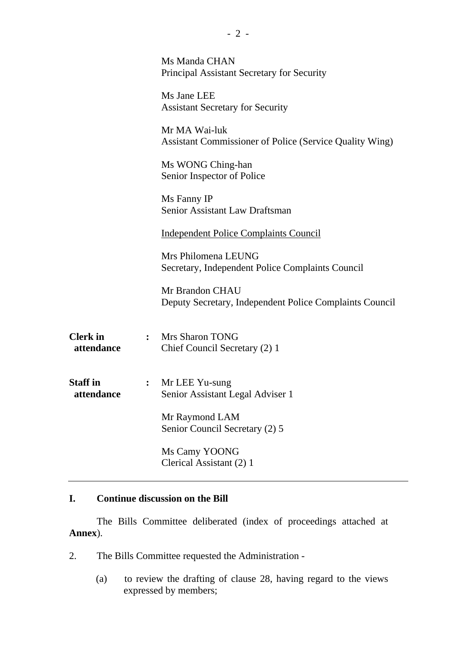|                               |                | Ms Manda CHAN<br>Principal Assistant Secretary for Security                |  |
|-------------------------------|----------------|----------------------------------------------------------------------------|--|
|                               |                | Ms Jane LEE<br><b>Assistant Secretary for Security</b>                     |  |
|                               |                | Mr MA Wai-luk<br>Assistant Commissioner of Police (Service Quality Wing)   |  |
|                               |                | Ms WONG Ching-han<br>Senior Inspector of Police                            |  |
|                               |                | Ms Fanny IP<br>Senior Assistant Law Draftsman                              |  |
|                               |                | <b>Independent Police Complaints Council</b>                               |  |
|                               |                | Mrs Philomena LEUNG<br>Secretary, Independent Police Complaints Council    |  |
|                               |                | Mr Brandon CHAU<br>Deputy Secretary, Independent Police Complaints Council |  |
| <b>Clerk</b> in<br>attendance | $\ddot{\cdot}$ | <b>Mrs Sharon TONG</b><br>Chief Council Secretary (2) 1                    |  |
| <b>Staff</b> in<br>attendance |                | Mr LEE Yu-sung<br>Senior Assistant Legal Adviser 1                         |  |
|                               |                | Mr Raymond LAM<br>Senior Council Secretary (2) 5                           |  |
|                               |                | Ms Camy YOONG<br>Clerical Assistant (2) 1                                  |  |
|                               |                |                                                                            |  |

## **I. Continue discussion on the Bill**

1. The Bills Committee deliberated (index of proceedings attached at **Annex**).

- 2. The Bills Committee requested the Administration
	- (a) to review the drafting of clause 28, having regard to the views expressed by members;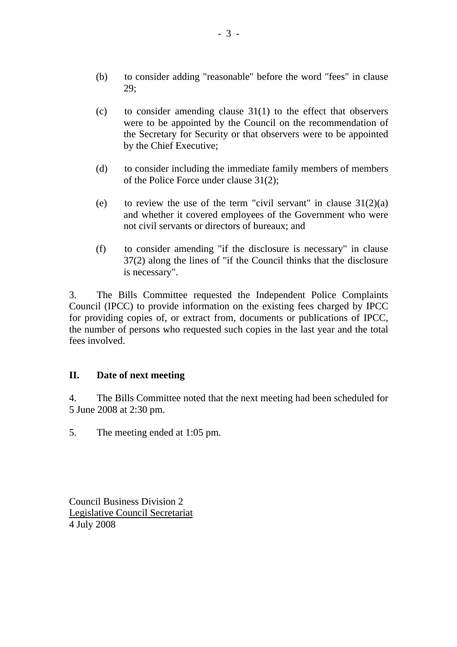- (b) to consider adding "reasonable" before the word "fees" in clause 29;
- (c) to consider amending clause  $31(1)$  to the effect that observers were to be appointed by the Council on the recommendation of the Secretary for Security or that observers were to be appointed by the Chief Executive;
- (d) to consider including the immediate family members of members of the Police Force under clause 31(2);
- (e) to review the use of the term "civil servant" in clause  $31(2)(a)$ and whether it covered employees of the Government who were not civil servants or directors of bureaux; and
- (f) to consider amending "if the disclosure is necessary" in clause 37(2) along the lines of "if the Council thinks that the disclosure is necessary".

3. The Bills Committee requested the Independent Police Complaints Council (IPCC) to provide information on the existing fees charged by IPCC for providing copies of, or extract from, documents or publications of IPCC, the number of persons who requested such copies in the last year and the total fees involved.

## **II. Date of next meeting**

4. The Bills Committee noted that the next meeting had been scheduled for 5 June 2008 at 2:30 pm.

5. The meeting ended at 1:05 pm.

Council Business Division 2 Legislative Council Secretariat 4 July 2008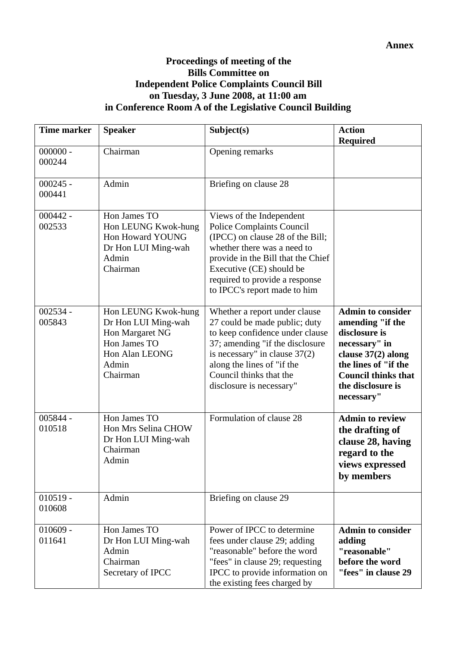## **Proceedings of meeting of the Bills Committee on Independent Police Complaints Council Bill on Tuesday, 3 June 2008, at 11:00 am in Conference Room A of the Legislative Council Building**

| <b>Time marker</b>   | <b>Speaker</b>                                                                                                       | Subject(s)                                                                                                                                                                                                                                                          | <b>Action</b><br><b>Required</b>                                                                                                                                                                |
|----------------------|----------------------------------------------------------------------------------------------------------------------|---------------------------------------------------------------------------------------------------------------------------------------------------------------------------------------------------------------------------------------------------------------------|-------------------------------------------------------------------------------------------------------------------------------------------------------------------------------------------------|
| $000000 -$<br>000244 | Chairman                                                                                                             | Opening remarks                                                                                                                                                                                                                                                     |                                                                                                                                                                                                 |
| $000245 -$<br>000441 | Admin                                                                                                                | Briefing on clause 28                                                                                                                                                                                                                                               |                                                                                                                                                                                                 |
| $000442 -$<br>002533 | Hon James TO<br>Hon LEUNG Kwok-hung<br>Hon Howard YOUNG<br>Dr Hon LUI Ming-wah<br>Admin<br>Chairman                  | Views of the Independent<br><b>Police Complaints Council</b><br>(IPCC) on clause 28 of the Bill;<br>whether there was a need to<br>provide in the Bill that the Chief<br>Executive (CE) should be<br>required to provide a response<br>to IPCC's report made to him |                                                                                                                                                                                                 |
| $002534 -$<br>005843 | Hon LEUNG Kwok-hung<br>Dr Hon LUI Ming-wah<br>Hon Margaret NG<br>Hon James TO<br>Hon Alan LEONG<br>Admin<br>Chairman | Whether a report under clause<br>27 could be made public; duty<br>to keep confidence under clause<br>37; amending "if the disclosure<br>is necessary" in clause $37(2)$<br>along the lines of "if the<br>Council thinks that the<br>disclosure is necessary"        | <b>Admin to consider</b><br>amending "if the<br>disclosure is<br>necessary" in<br>clause $37(2)$ along<br>the lines of "if the<br><b>Council thinks that</b><br>the disclosure is<br>necessary" |
| 005844 -<br>010518   | Hon James TO<br>Hon Mrs Selina CHOW<br>Dr Hon LUI Ming-wah<br>Chairman<br>Admin                                      | Formulation of clause 28                                                                                                                                                                                                                                            | <b>Admin to review</b><br>the drafting of<br>clause 28, having<br>regard to the<br>views expressed<br>by members                                                                                |
| $010519 -$<br>010608 | Admin                                                                                                                | Briefing on clause 29                                                                                                                                                                                                                                               |                                                                                                                                                                                                 |
| $010609 -$<br>011641 | Hon James TO<br>Dr Hon LUI Ming-wah<br>Admin<br>Chairman<br>Secretary of IPCC                                        | Power of IPCC to determine<br>fees under clause 29; adding<br>"reasonable" before the word<br>"fees" in clause 29; requesting<br>IPCC to provide information on<br>the existing fees charged by                                                                     | <b>Admin to consider</b><br>adding<br>"reasonable"<br>before the word<br>"fees" in clause 29                                                                                                    |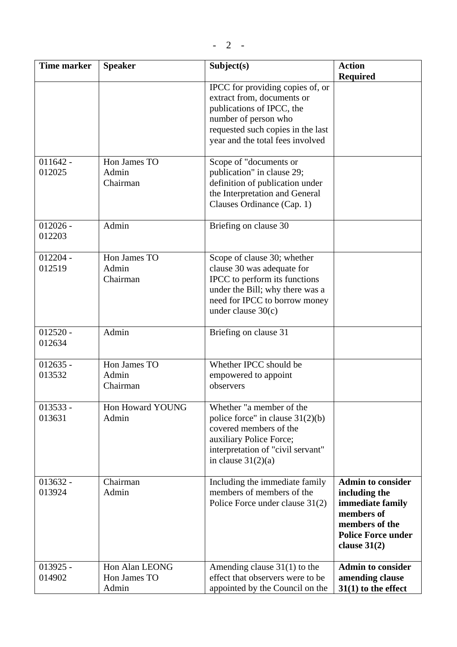| <b>Time marker</b>   | <b>Speaker</b>                          | Subject(s)                                                                                                                                                                                   | <b>Action</b><br><b>Required</b>                                                                                                             |
|----------------------|-----------------------------------------|----------------------------------------------------------------------------------------------------------------------------------------------------------------------------------------------|----------------------------------------------------------------------------------------------------------------------------------------------|
|                      |                                         | IPCC for providing copies of, or<br>extract from, documents or<br>publications of IPCC, the<br>number of person who<br>requested such copies in the last<br>year and the total fees involved |                                                                                                                                              |
| $011642 -$<br>012025 | Hon James TO<br>Admin<br>Chairman       | Scope of "documents or<br>publication" in clause 29;<br>definition of publication under<br>the Interpretation and General<br>Clauses Ordinance (Cap. 1)                                      |                                                                                                                                              |
| $012026 -$<br>012203 | Admin                                   | Briefing on clause 30                                                                                                                                                                        |                                                                                                                                              |
| $012204 -$<br>012519 | Hon James TO<br>Admin<br>Chairman       | Scope of clause 30; whether<br>clause 30 was adequate for<br>IPCC to perform its functions<br>under the Bill; why there was a<br>need for IPCC to borrow money<br>under clause $30(c)$       |                                                                                                                                              |
| $012520 -$<br>012634 | Admin                                   | Briefing on clause 31                                                                                                                                                                        |                                                                                                                                              |
| $012635 -$<br>013532 | Hon James TO<br>Admin<br>Chairman       | Whether IPCC should be<br>empowered to appoint<br>observers                                                                                                                                  |                                                                                                                                              |
| 013533 -<br>013631   | Hon Howard YOUNG<br>Admin               | Whether "a member of the<br>police force" in clause $31(2)(b)$<br>covered members of the<br>auxiliary Police Force;<br>interpretation of "civil servant"<br>in clause $31(2)(a)$             |                                                                                                                                              |
| $013632 -$<br>013924 | Chairman<br>Admin                       | Including the immediate family<br>members of members of the<br>Police Force under clause 31(2)                                                                                               | <b>Admin to consider</b><br>including the<br>immediate family<br>members of<br>members of the<br><b>Police Force under</b><br>clause $31(2)$ |
| $013925 -$<br>014902 | Hon Alan LEONG<br>Hon James TO<br>Admin | Amending clause $31(1)$ to the<br>effect that observers were to be<br>appointed by the Council on the                                                                                        | <b>Admin to consider</b><br>amending clause<br>$31(1)$ to the effect                                                                         |